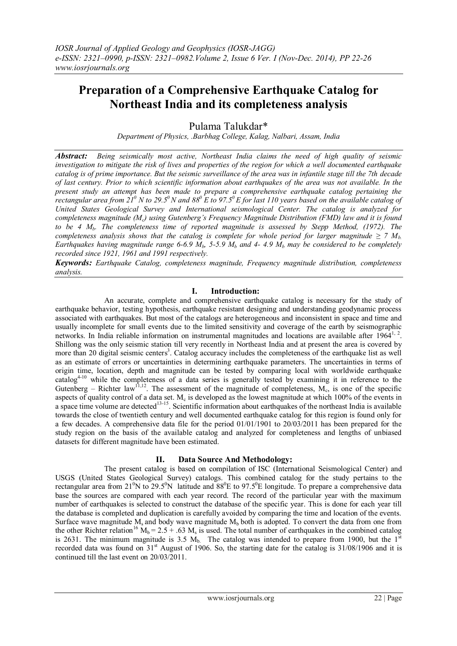# **Preparation of a Comprehensive Earthquake Catalog for Northeast India and its completeness analysis**

Pulama Talukdar\*

*Department of Physics, .Barbhag College, Kalag, Nalbari, Assam, India*

*Abstract: Being seismically most active, Northeast India claims the need of high quality of seismic investigation to mitigate the risk of lives and properties of the region for which a well documented earthquake catalog is of prime importance. But the seismic surveillance of the area was in infantile stage till the 7th decade of last century. Prior to which scientific information about earthquakes of the area was not available. In the present study an attempt has been made to prepare a comprehensive earthquake catalog pertaining the rectangular area from 21<sup>0</sup> N to 29.5<sup>0</sup>N and 88<sup>0</sup> E to 97.5<sup>0</sup>E for last 110 years based on the available catalog of United States Geological Survey and International seismological Center. The catalog is analyzed for completeness magnitude (Mc) using Gutenberg's Frequency Magnitude Distribution (FMD) law and it is found to be 4 Mb. The completeness time of reported magnitude is assessed by Stepp Method, (1972). The completeness analysis shows that the catalog is complete for whole period for larger magnitude*  $\geq 7$  *M<sub><i>b*.</sub> *Earthquakes having magnitude range 6-6.9*  $\tilde{M}_b$ *, 5-5.9*  $M_b$  *and 4-4.9*  $\tilde{M}_b$  *may be considered to be completely recorded since 1921, 1961 and 1991 respectively.* 

*Keywords: Earthquake Catalog, completeness magnitude, Frequency magnitude distribution, completeness analysis.*

## **I. Introduction:**

An accurate, complete and comprehensive earthquake catalog is necessary for the study of earthquake behavior, testing hypothesis, earthquake resistant designing and understanding geodynamic process associated with earthquakes. But most of the catalogs are heterogeneous and inconsistent in space and time and usually incomplete for small events due to the limited sensitivity and coverage of the earth by seismographic networks. In India reliable information on instrumental magnitudes and locations are available after 1964<sup>1, 2</sup>. Shillong was the only seismic station till very recently in Northeast India and at present the area is covered by more than 20 digital seismic centers<sup>3</sup>. Catalog accuracy includes the completeness of the earthquake list as well as an estimate of errors or uncertainties in determining earthquake parameters. The uncertainties in terms of origin time, location, depth and magnitude can be tested by comparing local with worldwide earthquake catalog4-10 while the completeness of a data series is generally tested by examining it in reference to the Gutenberg – Richter law<sup>11,12</sup>. The assessment of the magnitude of completeness,  $M_c$ , is one of the specific aspects of quality control of a data set.  $M_c$  is developed as the lowest magnitude at which 100% of the events in a space time volume are detected $13-15$ . Scientific information about earthquakes of the northeast India is available towards the close of twentieth century and well documented earthquake catalog for this region is found only for a few decades. A comprehensive data file for the period 01/01/1901 to 20/03/2011 has been prepared for the study region on the basis of the available catalog and analyzed for completeness and lengths of unbiased datasets for different magnitude have been estimated.

### **II. Data Source And Methodology:**

The present catalog is based on compilation of ISC (International Seismological Center) and USGS (United States Geological Survey) catalogs. This combined catalog for the study pertains to the rectangular area from 21<sup>°</sup>N to 29.5<sup>°</sup>N latitude and  $88^{\circ}E$  to 97.5<sup>°</sup>E longitude. To prepare a comprehensive data base the sources are compared with each year record. The record of the particular year with the maximum number of earthquakes is selected to construct the database of the specific year. This is done for each year till the database is completed and duplication is carefully avoided by comparing the time and location of the events. Surface wave magnitude  $M_s$  and body wave magnitude  $M_b$  both is adopted. To convert the data from one from the other Richter relation<sup>16</sup>  $M_b = 2.5 + .63$  M<sub>s</sub> is used. The total number of earthquakes in the combined catalog is 2631. The minimum magnitude is 3.5  $M<sub>b</sub>$ . The catalog was intended to prepare from 1900, but the 1<sup>st</sup> recorded data was found on 31<sup>st</sup> August of 1906. So, the starting date for the catalog is 31/08/1906 and it is continued till the last event on 20/03/2011.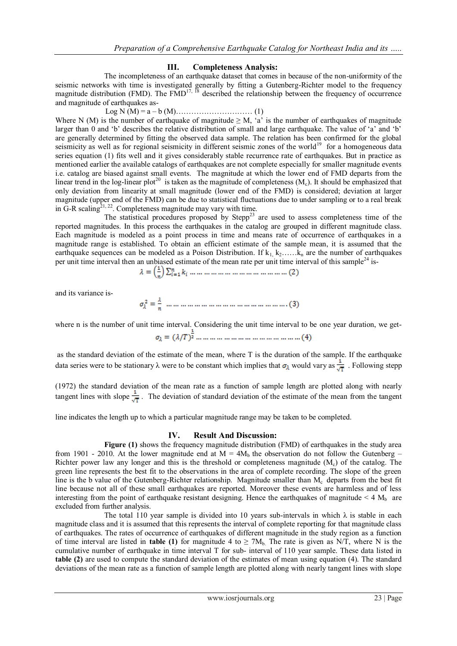#### **III. Completeness Analysis:**

The incompleteness of an earthquake dataset that comes in because of the non-uniformity of the seismic networks with time is investigated generally by fitting a Gutenberg-Richter model to the frequency magnitude distribution (FMD). The FMD<sup>17, 18</sup> described the relationship between the frequency of occurrence and magnitude of earthquakes as-

$$
Log N (M) = a - b (M) \dots (1)
$$

Where N (M) is the number of earthquake of magnitude  $\geq M$ , 'a' is the number of earthquakes of magnitude larger than 0 and 'b' describes the relative distribution of small and large earthquake. The value of 'a' and 'b' are generally determined by fitting the observed data sample. The relation has been confirmed for the global seismicity as well as for regional seismicity in different seismic zones of the world<sup>19</sup> for a homogeneous data series equation (1) fits well and it gives considerably stable recurrence rate of earthquakes. But in practice as mentioned earlier the available catalogs of earthquakes are not complete especially for smaller magnitude events i.e. catalog are biased against small events. The magnitude at which the lower end of FMD departs from the linear trend in the log-linear plot<sup>20</sup> is taken as the magnitude of completeness ( $M_c$ ). It should be emphasized that only deviation from linearity at small magnitude (lower end of the FMD) is considered; deviation at larger magnitude (upper end of the FMD) can be due to statistical fluctuations due to under sampling or to a real break in  $\tilde{G}$ -R scaling<sup>21, 22</sup>. Completeness magnitude may vary with time.

The statistical procedures proposed by  $Step<sup>23</sup>$  are used to assess completeness time of the reported magnitudes. In this process the earthquakes in the catalog are grouped in different magnitude class. Each magnitude is modeled as a point process in time and means rate of occurrence of earthquakes in a magnitude range is established. To obtain an efficient estimate of the sample mean, it is assumed that the earthquake sequences can be modeled as a Poison Distribution. If  $k_1, k_2, \ldots, k_n$  are the number of earthquakes per unit time interval then an unbiased estimate of the mean rate per unit time interval of this sample<sup>24</sup> is-

$$
\lambda = \left(\frac{1}{n}\right) \sum_{i=1}^{n} k_i \dots \dots \dots \dots \dots \dots \dots \dots \dots \dots \dots \dots \dots \dots \dots (2)
$$

and its variance is-

$$
\sigma_{\lambda}^2 = \frac{\lambda}{n} \dots \dots \dots \dots \dots \dots \dots \dots \dots \dots \dots \dots \dots \dots \dots \dots (3)
$$

where n is the number of unit time interval. Considering the unit time interval to be one year duration, we get-

as the standard deviation of the estimate of the mean, where T is the duration of the sample. If the earthquake data series were to be stationary  $\lambda$  were to be constant which implies that  $\sigma_{\lambda}$  would vary as  $\frac{1}{\sqrt{n}}$ . Following stepp

(1972) the standard deviation of the mean rate as a function of sample length are plotted along with nearly tangent lines with slope  $\frac{1}{\sqrt{T}}$ . The deviation of standard deviation of the estimate of the mean from the tangent

line indicates the length up to which a particular magnitude range may be taken to be completed.

#### **IV. Result And Discussion:**

**Figure (1)** shows the frequency magnitude distribution (FMD) of earthquakes in the study area from 1901 - 2010. At the lower magnitude end at  $M = 4M_b$  the observation do not follow the Gutenberg – Richter power law any longer and this is the threshold or completeness magnitude  $(M<sub>c</sub>)$  of the catalog. The green line represents the best fit to the observations in the area of complete recording. The slope of the green line is the b value of the Gutenberg-Richter relationship. Magnitude smaller than M<sub>c</sub> departs from the best fit line because not all of these small earthquakes are reported. Moreover these events are harmless and of less interesting from the point of earthquake resistant designing. Hence the earthquakes of magnitude  $< 4$  M<sub>b</sub> are excluded from further analysis.

The total 110 year sample is divided into 10 years sub-intervals in which  $\lambda$  is stable in each magnitude class and it is assumed that this represents the interval of complete reporting for that magnitude class of earthquakes. The rates of occurrence of earthquakes of different magnitude in the study region as a function of time interval are listed in **table (1)** for magnitude 4 to  $\geq 7M_b$ . The rate is given as N/T, where N is the cumulative number of earthquake in time interval T for sub- interval of 110 year sample. These data listed in **table (2)** are used to compute the standard deviation of the estimates of mean using equation (4). The standard deviations of the mean rate as a function of sample length are plotted along with nearly tangent lines with slope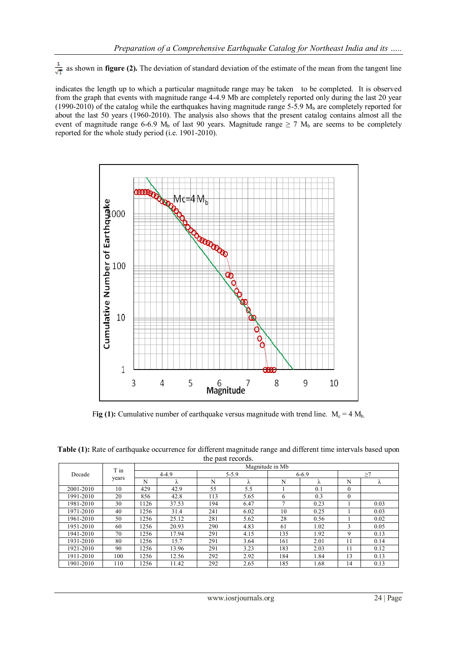$\frac{1}{\sqrt{T}}$  as shown in **figure (2).** The deviation of standard deviation of the estimate of the mean from the tangent line

indicates the length up to which a particular magnitude range may be taken to be completed. It is observed from the graph that events with magnitude range 4-4.9 Mb are completely reported only during the last 20 year (1990-2010) of the catalog while the earthquakes having magnitude range 5-5.9  $M_b$  are completely reported for about the last 50 years (1960-2010). The analysis also shows that the present catalog contains almost all the event of magnitude range 6-6.9  $M_b$  of last 90 years. Magnitude range  $\geq 7$  M<sub>b</sub> are seems to be completely reported for the whole study period (i.e. 1901-2010).



Fig (1): Cumulative number of earthquake versus magnitude with trend line.  $M_c = 4 M_b$ .

| Table (1): Rate of earthquake occurrence for different magnitude range and different time intervals based upon |
|----------------------------------------------------------------------------------------------------------------|
| the past records.                                                                                              |

| Decade    | T in<br>years | Magnitude in Mb |       |           |      |              |      |          |      |
|-----------|---------------|-----------------|-------|-----------|------|--------------|------|----------|------|
|           |               | $4 - 4.9$       |       | $5 - 5.9$ |      | $6 - 6.9$    |      | $\geq$ 7 |      |
|           |               | N               |       | N         | λ    | N            | Λ    | N        | λ    |
| 2001-2010 | 10            | 429             | 42.9  | 55        | 5.5  |              | 0.1  | $\theta$ |      |
| 1991-2010 | 20            | 856             | 42.8  | 113       | 5.65 | 6            | 0.3  | $\Omega$ |      |
| 1981-2010 | 30            | 1126            | 37.53 | 194       | 6.47 | $\mathbf{r}$ | 0.23 |          | 0.03 |
| 1971-2010 | 40            | 1256            | 31.4  | 241       | 6.02 | 10           | 0.25 |          | 0.03 |
| 1961-2010 | 50            | 1256            | 25.12 | 281       | 5.62 | 28           | 0.56 |          | 0.02 |
| 1951-2010 | 60            | 1256            | 20.93 | 290       | 4.83 | 61           | 1.02 | 3        | 0.05 |
| 1941-2010 | 70            | 1256            | 17.94 | 291       | 4.15 | 135          | 1.92 | 9        | 0.13 |
| 1931-2010 | 80            | 1256            | 15.7  | 291       | 3.64 | 161          | 2.01 | 11       | 0.14 |
| 1921-2010 | 90            | 1256            | 13.96 | 291       | 3.23 | 183          | 2.03 | 11       | 0.12 |
| 1911-2010 | 100           | 1256            | 12.56 | 292       | 2.92 | 184          | 1.84 | 13       | 0.13 |
| 1901-2010 | 110           | 1256            | 11.42 | 292       | 2.65 | 185          | 1.68 | 14       | 0.13 |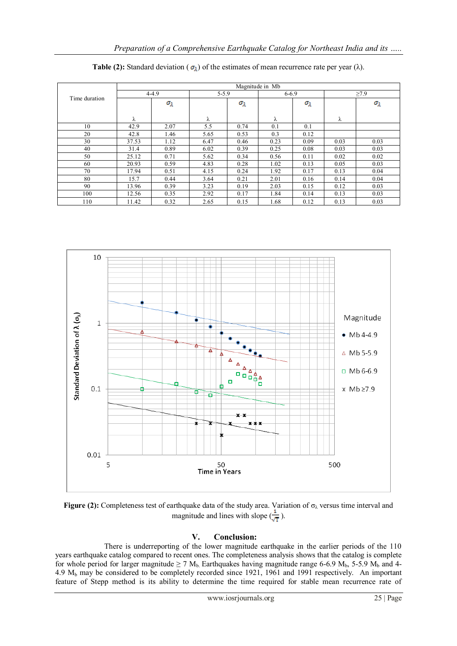|               | Magnitude in Mb |                      |           |                      |           |                      |            |                    |  |
|---------------|-----------------|----------------------|-----------|----------------------|-----------|----------------------|------------|--------------------|--|
|               | $4-4.9$         |                      | $5 - 5.9$ |                      | $6 - 6.9$ |                      | $\geq 7.9$ |                    |  |
| Time duration |                 | $\sigma_{\!\lambda}$ |           | $\sigma_{\!\lambda}$ |           | $\sigma_{\!\lambda}$ |            | $\sigma_{\lambda}$ |  |
|               | λ               |                      | λ         |                      | λ         |                      | λ          |                    |  |
| 10            | 42.9            | 2.07                 | 5.5       | 0.74                 | 0.1       | 0.1                  |            |                    |  |
| 20            | 42.8            | 1.46                 | 5.65      | 0.53                 | 0.3       | 0.12                 |            |                    |  |
| 30            | 37.53           | 1.12                 | 6.47      | 0.46                 | 0.23      | 0.09                 | 0.03       | 0.03               |  |
| 40            | 31.4            | 0.89                 | 6.02      | 0.39                 | 0.25      | 0.08                 | 0.03       | 0.03               |  |
| 50            | 25.12           | 0.71                 | 5.62      | 0.34                 | 0.56      | 0.11                 | 0.02       | 0.02               |  |
| 60            | 20.93           | 0.59                 | 4.83      | 0.28                 | 1.02      | 0.13                 | 0.05       | 0.03               |  |
| 70            | 17.94           | 0.51                 | 4.15      | 0.24                 | 1.92      | 0.17                 | 0.13       | 0.04               |  |
| 80            | 15.7            | 0.44                 | 3.64      | 0.21                 | 2.01      | 0.16                 | 0.14       | 0.04               |  |
| 90            | 13.96           | 0.39                 | 3.23      | 0.19                 | 2.03      | 0.15                 | 0.12       | 0.03               |  |
| 100           | 12.56           | 0.35                 | 2.92      | 0.17                 | 1.84      | 0.14                 | 0.13       | 0.03               |  |
| 110           | 11.42           | 0.32                 | 2.65      | 0.15                 | 1.68      | 0.12                 | 0.13       | 0.03               |  |

**Table (2):** Standard deviation ( $\sigma_{\lambda}$ ) of the estimates of mean recurrence rate per year ( $\lambda$ ).



**Figure (2):** Completeness test of earthquake data of the study area. Variation of  $\sigma_{\lambda}$  versus time interval and magnitude and lines with slope  $\left(\frac{1}{\sqrt{T}}\right)$ .

# **V. Conclusion:**

There is underreporting of the lower magnitude earthquake in the earlier periods of the 110 years earthquake catalog compared to recent ones. The completeness analysis shows that the catalog is complete for whole period for larger magnitude  $\geq 7$  M<sub>b</sub>. Earthquakes having magnitude range 6-6.9 M<sub>b</sub>, 5-5.9 M<sub>b</sub> and 4- $4.9 \text{ M}_b$  may be considered to be completely recorded since 1921, 1961 and 1991 respectively. An important feature of Stepp method is its ability to determine the time required for stable mean recurrence rate of